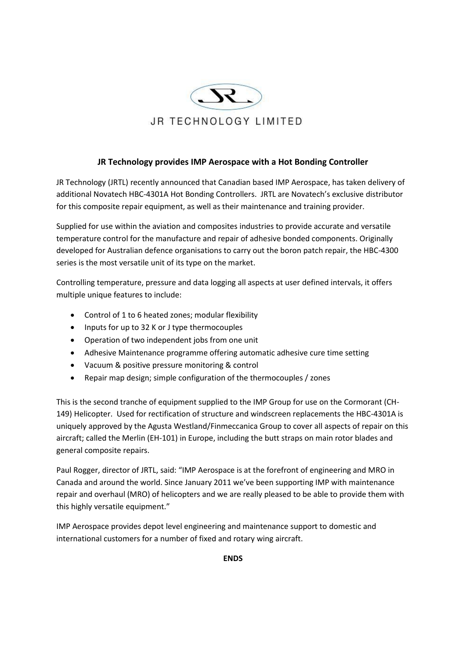

## **JR Technology provides IMP Aerospace with a Hot Bonding Controller**

JR Technology (JRTL) recently announced that Canadian based IMP Aerospace, has taken delivery of additional Novatech HBC-4301A Hot Bonding Controllers. JRTL are Novatech's exclusive distributor for this composite repair equipment, as well as their maintenance and training provider.

Supplied for use within the aviation and composites industries to provide accurate and versatile temperature control for the manufacture and repair of adhesive bonded components. Originally developed for Australian defence organisations to carry out the boron patch repair, the HBC-4300 series is the most versatile unit of its type on the market.

Controlling temperature, pressure and data logging all aspects at user defined intervals, it offers multiple unique features to include:

- Control of 1 to 6 heated zones; modular flexibility
- Inputs for up to 32 K or J type thermocouples
- Operation of two independent jobs from one unit
- Adhesive Maintenance programme offering automatic adhesive cure time setting
- Vacuum & positive pressure monitoring & control
- Repair map design; simple configuration of the thermocouples / zones

This is the second tranche of equipment supplied to the IMP Group for use on the Cormorant (CH-149) Helicopter. Used for rectification of structure and windscreen replacements the HBC-4301A is uniquely approved by the Agusta Westland/Finmeccanica Group to cover all aspects of repair on this aircraft; called the Merlin (EH-101) in Europe, including the butt straps on main rotor blades and general composite repairs.

Paul Rogger, director of JRTL, said: "IMP Aerospace is at the forefront of engineering and MRO in Canada and around the world. Since January 2011 we've been supporting IMP with maintenance repair and overhaul (MRO) of helicopters and we are really pleased to be able to provide them with this highly versatile equipment."

IMP Aerospace provides depot level engineering and maintenance support to domestic and international customers for a number of fixed and rotary wing aircraft.

**ENDS**